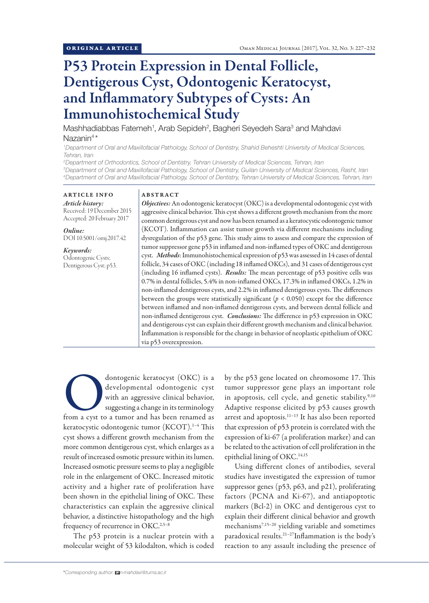# P53 Protein Expression in Dental Follicle, Dentigerous Cyst, Odontogenic Keratocyst, and Inflammatory Subtypes of Cysts: An Immunohistochemical Study

Mashhadiabbas Fatemeh<sup>1</sup>, Arab Sepideh<sup>2</sup>, Bagheri Seyedeh Sara<sup>3</sup> and Mahdavi Nazanin<sup>4\*</sup>

*1 Department of Oral and Maxillofacial Pathology, School of Dentistry, Shahid Beheshti University of Medical Sciences, Tehran, Iran*

*2 Department of Orthodontics, School of Dentistry, Tehran University of Medical Sciences, Tehran, Iran 3 Department of Oral and Maxillofacial Pathology, School of Dentistry, Guilan University of Medical Sciences, Rasht, Iran 4 Department of Oral and Maxillofacial Pathology, School of Dentistry, Tehran University of Medical Sciences, Tehran, Iran*

ARTICLE INFO *Article history:* Received: 19 December 2015 Accepted: 20 February 2017

*Online:* DOI 10.5001/omj.2017.42

*Keywords:*  Odontogenic Cysts; Dentigerous Cyst; p53.

# ABSTRACT

*Objectives:* An odontogenic keratocyst (OKC) is a developmental odontogenic cyst with aggressive clinical behavior. This cyst shows a different growth mechanism from the more common dentigerous cyst and now has been renamed as a keratocystic odontogenic tumor (KCOT). Inflammation can assist tumor growth via different mechanisms including dysregulation of the p53 gene. This study aims to assess and compare the expression of tumor suppressor gene p53 in inflamed and non-inflamed types of OKC and dentigerous cyst. *Methods*: Immunohistochemical expression of p53 was assessed in 14 cases of dental follicle, 34 cases of OKC (including 18 inflamed OKCs), and 31 cases of dentigerous cyst (including 16 inflamed cysts). *Results:* The mean percentage of p53 positive cells was 0.7% in dental follicles, 5.4% in non-inflamed OKCs, 17.3% in inflamed OKCs, 1.2% in non-inflamed dentigerous cysts, and 2.2% in inflamed dentigerous cysts. The differences between the groups were statistically significant ( $p < 0.050$ ) except for the difference between inflamed and non-inflamed dentigerous cysts, and between dental follicle and non-inflamed dentigerous cyst. *Conclusions:* The difference in p53 expression in OKC and dentigerous cyst can explain their different growth mechanism and clinical behavior. Inflammation is responsible for the change in behavior of neoplastic epithelium of OKC via p53 overexpression.

dontogenic keratocyst (OKC) is a developmental odontogenic cyst with an aggressive clinical behavior, suggesting a change in its terminology from a cyst to a tumor and has been renamed as developmental odontogenic cyst with an aggressive clinical behavior, suggesting a change in its terminology keratocystic odontogenic tumor (KCOT).1–4 This cyst shows a different growth mechanism from the more common dentigerous cyst, which enlarges as a result of increased osmotic pressure within its lumen. Increased osmotic pressure seems to play a negligible role in the enlargement of OKC. Increased mitotic activity and a higher rate of proliferation have been shown in the epithelial lining of OKC. These characteristics can explain the aggressive clinical behavior, a distinctive histopathology and the high frequency of recurrence in OKC.<sup>2,5-8</sup>

The p53 protein is a nuclear protein with a molecular weight of 53 kilodalton, which is coded by the p53 gene located on chromosome 17. This tumor suppressor gene plays an important role in apoptosis, cell cycle, and genetic stability.<sup>9,10</sup> Adaptive response elicited by p53 causes growth arrest and apoptosis.<sup>11-13</sup> It has also been reported that expression of p53 protein is correlated with the expression of ki-67 (a proliferation marker) and can be related to the activation of cell proliferation in the epithelial lining of OKC.14,15

Using different clones of antibodies, several studies have investigated the expression of tumor suppressor genes (p53, p63, and p21), proliferating factors (PCNA and Ki-67), and antiapoptotic markers (Bcl-2) in OKC and dentigerous cyst to explain their different clinical behavior and growth mechanisms7,15–20 yielding variable and sometimes paradoxical results.21–27Inflammation is the body's reaction to any assault including the presence of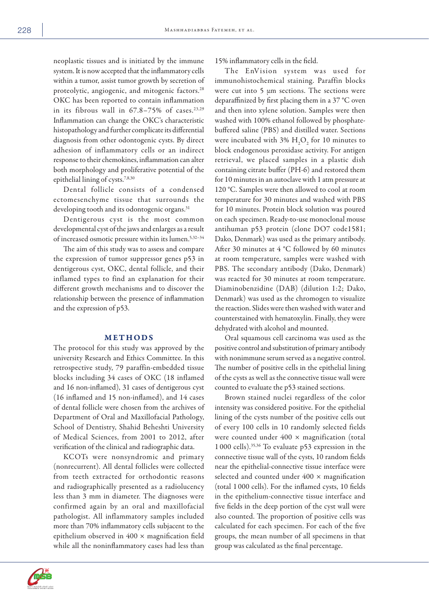neoplastic tissues and is initiated by the immune system. It is now accepted that the inflammatory cells within a tumor, assist tumor growth by secretion of proteolytic, angiogenic, and mitogenic factors.<sup>28</sup> OKC has been reported to contain inflammation in its fibrous wall in  $67.8-75\%$  of cases.<sup>23,29</sup> Inflammation can change the OKC's characteristic histopathology and further complicate its differential diagnosis from other odontogenic cysts. By direct adhesion of inflammatory cells or an indirect response to their chemokines, inflammation can alter both morphology and proliferative potential of the epithelial lining of cysts.7,8,30

Dental follicle consists of a condensed ectomesenchyme tissue that surrounds the developing tooth and its odontogenic organs.<sup>31</sup>

Dentigerous cyst is the most common developmental cyst of the jaws and enlarges as a result of increased osmotic pressure within its lumen.<sup>5,32-34</sup>

The aim of this study was to assess and compare the expression of tumor suppressor genes p53 in dentigerous cyst, OKC, dental follicle, and their inflamed types to find an explanation for their different growth mechanisms and to discover the relationship between the presence of inflammation and the expression of p53.

## METHODS

The protocol for this study was approved by the university Research and Ethics Committee. In this retrospective study, 79 paraffin-embedded tissue blocks including 34 cases of OKC (18 inflamed and 16 non-inflamed), 31 cases of dentigerous cyst (16 inflamed and 15 non-inflamed), and 14 cases of dental follicle were chosen from the archives of Department of Oral and Maxillofacial Pathology, School of Dentistry, Shahid Beheshti University of Medical Sciences, from 2001 to 2012, after verification of the clinical and radiographic data.

KCOTs were nonsyndromic and primary (nonrecurrent). All dental follicles were collected from teeth extracted for orthodontic reasons and radiographically presented as a radiolucency less than 3 mm in diameter. The diagnoses were confirmed again by an oral and maxillofacial pathologist. All inflammatory samples included more than 70% inflammatory cells subjacent to the epithelium observed in  $400 \times$  magnification field while all the noninflammatory cases had less than

15% inflammatory cells in the field.

The EnVision system was used for immunohistochemical staining. Paraffin blocks were cut into 5 µm sections. The sections were deparaffinized by first placing them in a 37 °C oven and then into xylene solution. Samples were then washed with 100% ethanol followed by phosphatebuffered saline (PBS) and distilled water. Sections were incubated with  $3\%$   $H_2O_2$  for 10 minutes to block endogenous peroxidase activity. For antigen retrieval, we placed samples in a plastic dish containing citrate buffer (PH-6) and restored them for 10 minutes in an autoclave with 1 atm pressure at 120 °C. Samples were then allowed to cool at room temperature for 30 minutes and washed with PBS for 10 minutes. Protein block solution was poured on each specimen. Ready-to-use monoclonal mouse antihuman p53 protein (clone DO7 code1581; Dako, Denmark) was used as the primary antibody. After 30 minutes at 4 °C followed by 60 minutes at room temperature, samples were washed with PBS. The secondary antibody (Dako, Denmark) was reacted for 30 minutes at room temperature. Diaminobenzidine (DAB) (dilution 1:2; Dako, Denmark) was used as the chromogen to visualize the reaction. Slides were then washed with water and counterstained with hematoxylin. Finally, they were dehydrated with alcohol and mounted.

Oral squamous cell carcinoma was used as the positive control and substitution of primary antibody with nonimmune serum served as a negative control. The number of positive cells in the epithelial lining of the cysts as well as the connective tissue wall were counted to evaluate the p53 stained sections.

Brown stained nuclei regardless of the color intensity was considered positive. For the epithelial lining of the cysts number of the positive cells out of every 100 cells in 10 randomly selected fields were counted under  $400 \times$  magnification (total 1 000 cells).35,36 To evaluate p53 expression in the connective tissue wall of the cysts, 10 random fields near the epithelial-connective tissue interface were selected and counted under  $400 \times$  magnification (total 1 000 cells). For the inflamed cysts, 10 fields in the epithelium-connective tissue interface and five fields in the deep portion of the cyst wall were also counted. The proportion of positive cells was calculated for each specimen. For each of the five groups, the mean number of all specimens in that group was calculated as the final percentage.

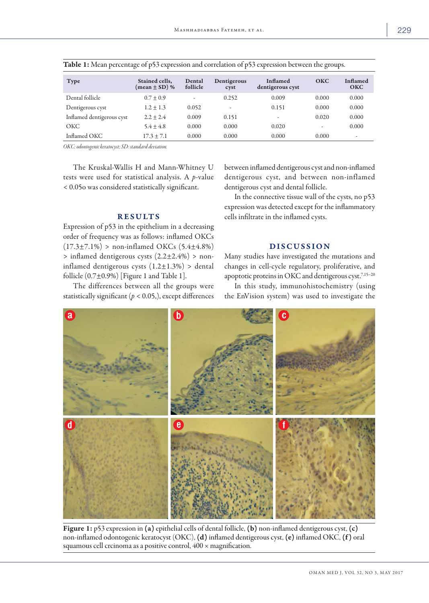| <b>Type</b>               | Stained cells,<br>(mean $\pm$ SD) % | Dental<br>follicle       | Dentigerous<br>cyst | Inflamed<br>dentigerous cyst | O <sub>KC</sub> | Inflamed<br><b>OKC</b>   |
|---------------------------|-------------------------------------|--------------------------|---------------------|------------------------------|-----------------|--------------------------|
| Dental follicle           | $0.7 \pm 0.9$                       | $\overline{\phantom{a}}$ | 0.252               | 0.009                        | 0.000           | 0.000                    |
| Dentigerous cyst          | $1.2 \pm 1.3$                       | 0.052                    |                     | 0.151                        | 0.000           | 0.000                    |
| Inflamed dentigerous cyst | $2.2 + 2.4$                         | 0.009                    | 0.151               | -                            | 0.020           | 0.000                    |
| <b>OKC</b>                | $5.4 \pm 4.8$                       | 0.000                    | 0.000               | 0.020                        | -               | 0.000                    |
| Inflamed OKC              | $17.3 \pm 7.1$                      | 0.000                    | 0.000               | 0.000                        | 0.000           | $\overline{\phantom{a}}$ |

*OKC: odontogenic keratocyst; SD: standard deviation.*

The Kruskal-Wallis H and Mann-Whitney U tests were used for statistical analysis. A *p*-value < 0.05o was considered statistically significant.

## RESULTS

Expression of p53 in the epithelium in a decreasing order of frequency was as follows: inflamed OKCs  $(17.3\pm7.1\%)$  > non-inflamed OKCs  $(5.4\pm4.8\%)$ > inflamed dentigerous cysts (2.2±2.4%) > noninflamed dentigerous cysts  $(1.2 \pm 1.3\%)$  > dental follicle (0.7±0.9%) [Figure 1 and Table 1].

The differences between all the groups were statistically significant  $(p < 0.05)$ , except differences between inflamed dentigerous cyst and non-inflamed dentigerous cyst, and between non-inflamed dentigerous cyst and dental follicle.

In the connective tissue wall of the cysts, no p53 expression was detected except for the inflammatory cells infiltrate in the inflamed cysts.

# DISCUSSION

Many studies have investigated the mutations and changes in cell-cycle regulatory, proliferative, and apoptotic proteins in OKC and dentigerous cyst.<sup>7,15-20</sup>

In this study, immunohistochemistry (using the EnVision system) was used to investigate the



Figure 1: p53 expression in (a) epithelial cells of dental follicle, (b) non-inflamed dentigerous cyst, (c) non-inflamed odontogenic keratocyst (OKC), (d) inflamed dentigerous cyst, (e) inflamed OKC, (f ) oral squamous cell crcinoma as a positive control,  $400 \times$  magnification.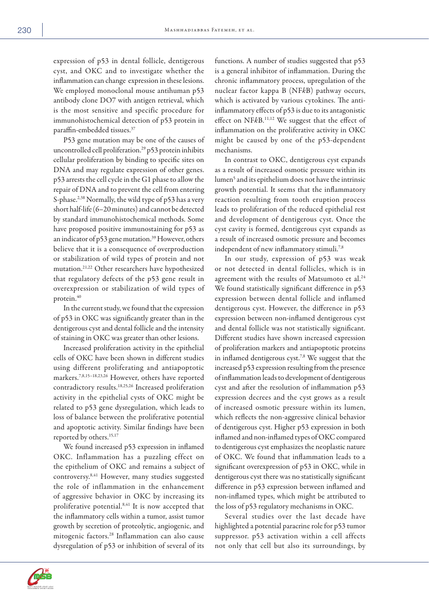expression of p53 in dental follicle, dentigerous cyst, and OKC and to investigate whether the inflammation can change expression in these lesions. We employed monoclonal mouse antihuman p53 antibody clone DO7 with antigen retrieval, which is the most sensitive and specific procedure for immunohistochemical detection of p53 protein in paraffin-embedded tissues.37

P53 gene mutation may be one of the causes of uncontrolled cell proliferation.<sup>29</sup> p53 protein inhibits cellular proliferation by binding to specific sites on DNA and may regulate expression of other genes. p53 arrests the cell cycle in the G1 phase to allow the repair of DNA and to prevent the cell from entering S-phase.<sup>2,38</sup> Normally, the wild type of p53 has a very short half-life (6–20 minutes) and cannot be detected by standard immunohistochemical methods. Some have proposed positive immunostaining for p53 as an indicator of p53 gene mutation.<sup>39</sup> However, others believe that it is a consequence of overproduction or stabilization of wild types of protein and not mutation.21,22 Other researchers have hypothesized that regulatory defects of the p53 gene result in overexpression or stabilization of wild types of protein.40

In the current study, we found that the expression of p53 in OKC was significantly greater than in the dentigerous cyst and dental follicle and the intensity of staining in OKC was greater than other lesions.

Increased proliferation activity in the epithelial cells of OKC have been shown in different studies using different proliferating and antiapoptotic markers.7,8,15–18,23,26 However, others have reported contradictory results.18,25,26 Increased proliferation activity in the epithelial cysts of OKC might be related to p53 gene dysregulation, which leads to loss of balance between the proliferative potential and apoptotic activity. Similar findings have been reported by others.<sup>15,17</sup>

We found increased p53 expression in inflamed OKC. Inflammation has a puzzling effect on the epithelium of OKC and remains a subject of controversy.8,41 However, many studies suggested the role of inflammation in the enhancement of aggressive behavior in OKC by increasing its proliferative potential.<sup>8,41</sup> It is now accepted that the inflammatory cells within a tumor, assist tumor growth by secretion of proteolytic, angiogenic, and mitogenic factors.28 Inflammation can also cause dysregulation of p53 or inhibition of several of its

functions. A number of studies suggested that p53 is a general inhibitor of inflammation. During the chronic inflammatory process, upregulation of the nuclear factor kappa B (NF*k*B) pathway occurs, which is activated by various cytokines. The antiinflammatory effects of p53 is due to its antagonistic effect on NF*k*B.11,12 We suggest that the effect of inflammation on the proliferative activity in OKC might be caused by one of the p53-dependent mechanisms.

In contrast to OKC, dentigerous cyst expands as a result of increased osmotic pressure within its lumen<sup>5</sup> and its epithelium does not have the intrinsic growth potential. It seems that the inflammatory reaction resulting from tooth eruption process leads to proliferation of the reduced epithelial rest and development of dentigerous cyst. Once the cyst cavity is formed, dentigerous cyst expands as a result of increased osmotic pressure and becomes independent of new inflammatory stimuli.<sup>7,8</sup>

In our study, expression of p53 was weak or not detected in dental follicles, which is in agreement with the results of Matsumoto et al.<sup>24</sup> We found statistically significant difference in p53 expression between dental follicle and inflamed dentigerous cyst. However, the difference in p53 expression between non-inflamed dentigerous cyst and dental follicle was not statistically significant. Different studies have shown increased expression of proliferation markers and antiapoptotic proteins in inflamed dentigerous cyst.<sup>7,8</sup> We suggest that the increased p53 expression resulting from the presence of inflammation leads to development of dentigerous cyst and after the resolution of inflammation p53 expression decrees and the cyst grows as a result of increased osmotic pressure within its lumen, which reflects the non-aggressive clinical behavior of dentigerous cyst. Higher p53 expression in both inflamed and non-inflamed types of OKC compared to dentigerous cyst emphasizes the neoplastic nature of OKC. We found that inflammation leads to a significant overexpression of p53 in OKC, while in dentigerous cyst there was no statistically significant difference in p53 expression between inflamed and non-inflamed types, which might be attributed to the loss of p53 regulatory mechanisms in OKC.

Several studies over the last decade have highlighted a potential paracrine role for p53 tumor suppressor. p53 activation within a cell affects not only that cell but also its surroundings, by

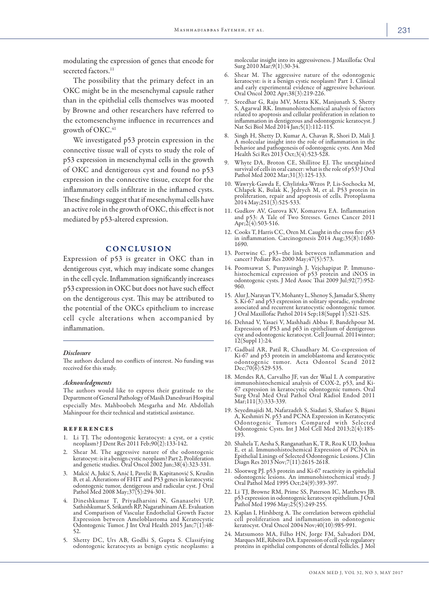modulating the expression of genes that encode for secreted factors.<sup>11</sup>

The possibility that the primary defect in an OKC might be in the mesenchymal capsule rather than in the epithelial cells themselves was mooted by Browne and other researchers have referred to the ectomesenchyme influence in recurrences and growth of OKC.<sup>41</sup>

We investigated p53 protein expression in the connective tissue wall of cysts to study the role of p53 expression in mesenchymal cells in the growth of OKC and dentigerous cyst and found no p53 expression in the connective tissue, except for the inflammatory cells infiltrate in the inflamed cysts. These findings suggest that if mesenchymal cells have an active role in the growth of OKC, this effect is not mediated by p53-altered expression.

## CONCLUSION

Expression of p53 is greater in OKC than in dentigerous cyst, which may indicate some changes in the cell cycle. Inflammation significantly increases p53 expression in OKC but does not have such effect on the dentigerous cyst. This may be attributed to the potential of the OKCs epithelium to increase cell cycle alterations when accompanied by inflammation.

### *Disclosure*

The authors declared no conflicts of interest. No funding was received for this study.

### *Acknowledgments*

The authors would like to express their gratitude to the Department of General Pathology of Masih Daneshvari Hospital especially Mrs. Mahboobeh Mesgarha and Mr. Abdollah Mahinpour for their technical and statistical assistance.

#### **REFERENCES**

- 1. Li TJ. The odontogenic keratocyst: a cyst, or a cystic neoplasm? J Dent Res 2011 Feb;90(2):133-142.
- 2. Shear M. The aggressive nature of the odontogenic keratocyst: is it a benign cystic neoplasm? Part 2. Proliferation and genetic studies. Oral Oncol 2002 Jun;38(4):323-331.
- 3. Malcić A, Jukić S, Anić I, Pavelić B, Kapitanović S, Kruslin B, et al. Alterations of FHIT and P53 genes in keratocystic odontogenic tumor, dentigerous and radicular cyst. J Oral Pathol Med 2008 May;37(5):294-301.
- 4. Dineshkumar T, Priyadharsini N, Gnanaselvi UP, Sathishkumar S, Srikanth RP, Nagarathinam AE. Evaluation and Comparison of Vascular Endothelial Growth Factor Expression between Ameloblastoma and Keratocystic Odontogenic Tumor. J Int Oral Health 2015 Jan;7(1):48- 52.
- 5. Shetty DC, Urs AB, Godhi S, Gupta S. Classifying odontogenic keratocysts as benign cystic neoplasms: a

molecular insight into its aggressiveness. J Maxillofac Oral Surg 2010 Mar; 9(1): 30-34.

- 6. Shear M. The aggressive nature of the odontogenic keratocyst: is it a benign cystic neoplasm? Part 1. Clinical and early experimental evidence of aggressive behaviour. Oral Oncol 2002 Apr;38(3):219-226.
- Sreedhar G, Raju MV, Metta KK, Manjunath S, Shetty S, Agarwal RK. Immunohistochemical analysis of factors related to apoptosis and cellular proliferation in relation to inflammation in dentigerous and odontogenic keratocyst. J Nat Sci Biol Med 2014 Jan;5(1):112-115.
- 8. Singh H, Shetty D, Kumar A, Chavan R, Shori D, Mali J. A molecular insight into the role of inflammation in the behavior and pathogenesis of odontogenic cysts. Ann Med Health Sci Res 2013 Oct;3(4):523-528.
- 9. Whyte DA, Broton CE, Shillitoe EJ. The unexplained survival of cells in oral cancer: what is the role of p53? J Oral Pathol Med 2002 Mar;31(3):125-133.
- 10. Wawryk-Gawda E, Chylińska-Wrzos P, Lis-Sochocka M, Chłapek K, Bulak K, Jędrych M, et al. P53 protein in proliferation, repair and apoptosis of cells. Protoplasma 2014 May;251(3):525-533.
- 11. Gudkov AV, Gurova KV, Komarova EA. Inflammation and p53: A Tale of Two Stresses. Genes Cancer 2011 Apr;2(4):503-516.
- 12. Cooks T, Harris CC, Oren M. Caught in the cross fire: p53 in inflammation. Carcinogenesis 2014 Aug;35(8):1680- 1690.
- 13. Portwine C. p53–the link between inflammation and cancer? Pediatr Res 2000 May;47(5):573.
- 14. Poomsawat S, Punyasingh J, Vejchapipat P. Immunohistochemical expression of p53 protein and iNOS in odontogenic cysts. J Med Assoc Thai 2009 Jul;92(7):952- 960.
- 15. Alur J, Narayan TV, Mohanty L, Shenoy S, Jamadar S, Shetty S. Ki-67 and p53 expression in solitary sporadic, syndrome associated and recurrent keratocystic odontogenic tumor. J Oral Maxillofac Pathol 2014 Sep;18(Suppl 1):S21-S25.
- 16. Dehnad V, Yasaei V, Mashhadi Abbas F, Bandehpour M. Expression of P53 and p63 in epithelium of dentigerous cyst and odontogenic keratocyst. Cell Journal. 2011winter; 12(Suppl 1):24.
- 17. Gadbail AR, Patil R, Chaudhary M. Co-expression of Ki-67 and p53 protein in ameloblastoma and keratocystic odontogenic tumor. Acta Odontol Scand 2012 Dec;70(6):529-535.
- 18. Mendes RA, Carvalho JF, van der Waal I. A comparative immunohistochemical analysis of COX-2, p53, and Ki-67 expression in keratocystic odontogenic tumors. Oral Surg Oral Med Oral Pathol Oral Radiol Endod 2011 Mar;111(3):333-339.
- 19. Seyedmajidi M, Nafarzadeh S, Siadati S, Shafaee S, Bijani A, Keshmiri N. p53 and PCNA Expression in Keratocystic Odontogenic Tumors Compared with Selected Odontogenic Cysts. Int J Mol Cell Med 2013;2(4):185- 193.
- 20. Shahela T, Aesha S, Ranganathan K, T R, Roa K UD, Joshua E, et al. Immunohistochemical Expression of PCNA in Epithelial Linings of Selected Odontogenic Lesions. J Clin Diagn Res 2013 Nov;7(11):2615-2618.
- 21. Slootweg PJ. p53 protein and Ki-67 reactivity in epithelial odontogenic lesions. An immunohistochemical study. J Oral Pathol Med 1995 Oct;24(9):393-397.
- 22. Li TJ, Browne RM, Prime SS, Paterson IC, Matthews JB. p53 expression in odontogenic keratocyst epithelium. J Oral Pathol Med 1996 May;25(5):249-255.
- 23. Kaplan I, Hirshberg A. The correlation between epithelial cell proliferation and inflammation in odontogenic keratocyst. Oral Oncol 2004 Nov;40(10):985-991.
- 24. Matsumoto MA, Filho HN, Jorge FM, Salvadori DM, proteins in epithelial components of dental follicles. J Mol